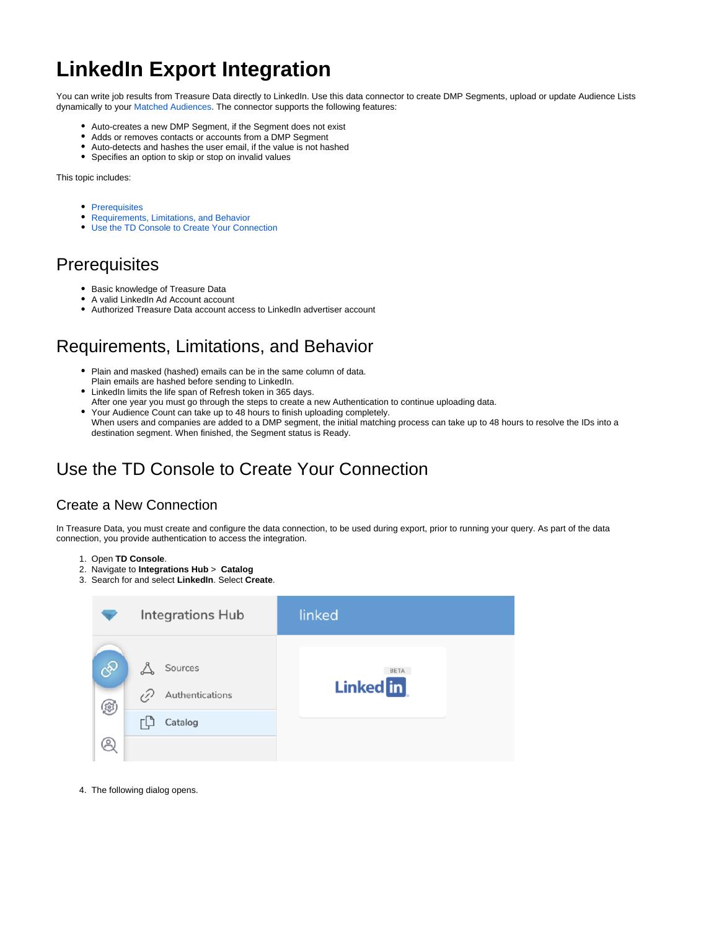# **LinkedIn Export Integration**

You can write job results from Treasure Data directly to LinkedIn. Use this data connector to create DMP Segments, upload or update Audience Lists dynamically to your [Matched Audiences](https://business.linkedin.com/marketing-solutions/ad-targeting/matched-audiences). The connector supports the following features:

- Auto-creates a new DMP Segment, if the Segment does not exist
- Adds or removes contacts or accounts from a DMP Segment
- Auto-detects and hashes the user email, if the value is not hashed
- Specifies an option to skip or stop on invalid values

This topic includes:

- [Prerequisites](#page-0-0)
- [Requirements, Limitations, and Behavior](#page-0-1)  $\bullet$
- [Use the TD Console to Create Your Connection](#page-0-2)

## <span id="page-0-0"></span>**Prerequisites**

- Basic knowledge of Treasure Data
- A valid LinkedIn Ad Account account
- Authorized Treasure Data account access to LinkedIn advertiser account

## <span id="page-0-1"></span>Requirements, Limitations, and Behavior

- Plain and masked (hashed) emails can be in the same column of data. Plain emails are hashed before sending to LinkedIn.
- LinkedIn limits the life span of Refresh token in 365 days.
- After one year you must go through the steps to create a new Authentication to continue uploading data.  $\bullet$ Your Audience Count can take up to 48 hours to finish uploading completely. When users and companies are added to a DMP segment, the initial matching process can take up to 48 hours to resolve the IDs into a destination segment. When finished, the Segment status is Ready.

## <span id="page-0-2"></span>Use the TD Console to Create Your Connection

## Create a New Connection

In Treasure Data, you must create and configure the data connection, to be used during export, prior to running your query. As part of the data connection, you provide authentication to access the integration.

- 1. Open **TD Console**.
- 2. Navigate to **Integrations Hub** > **Catalog**
- 3. Search for and select **LinkedIn**. Select **Create**.

|                                    | Integrations Hub                           | linked                          |
|------------------------------------|--------------------------------------------|---------------------------------|
| $\mathcal{S}^{\!\mathcal{D}}$<br>⑱ | Sources<br>P<br>Authentications<br>Catalog | <b>BETA</b><br><b>Linked</b> in |

4. The following dialog opens.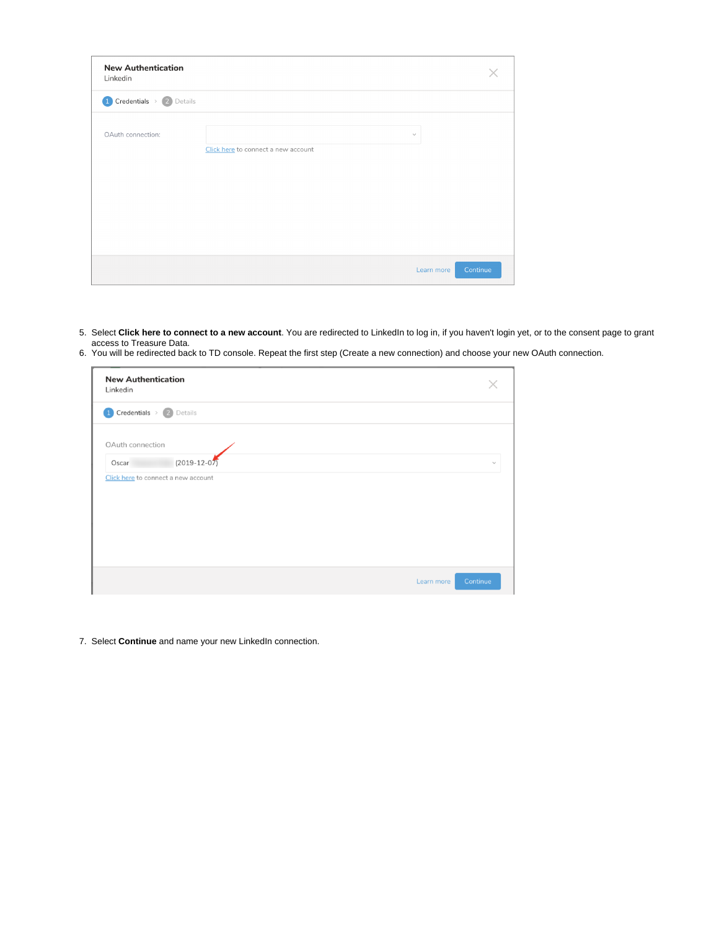| <b>New Authentication</b><br>Linkedin |                                     |                        |
|---------------------------------------|-------------------------------------|------------------------|
| 1 Credentials > 2 Details             |                                     |                        |
| OAuth connection:                     |                                     | $\checkmark$           |
|                                       | Click here to connect a new account |                        |
|                                       |                                     |                        |
|                                       |                                     |                        |
|                                       |                                     |                        |
|                                       |                                     | Continue<br>Learn more |

- 5. Select **Click here to connect to a new account**. You are redirected to LinkedIn to log in, if you haven't login yet, or to the consent page to grant access to Treasure Data.
- 6. You will be redirected back to TD console. Repeat the first step (Create a new connection) and choose your new OAuth connection.

| <b>New Authentication</b><br>Linkedin |              |
|---------------------------------------|--------------|
| 1 Credentials > 2 Details             |              |
| OAuth connection                      |              |
| $(2019 - 12 - 07)$<br>Oscar           | $\checkmark$ |
| Click here to connect a new account   |              |
|                                       |              |
|                                       |              |
|                                       |              |
|                                       |              |
| Learn more                            | Continue     |

7. Select **Continue** and name your new LinkedIn connection.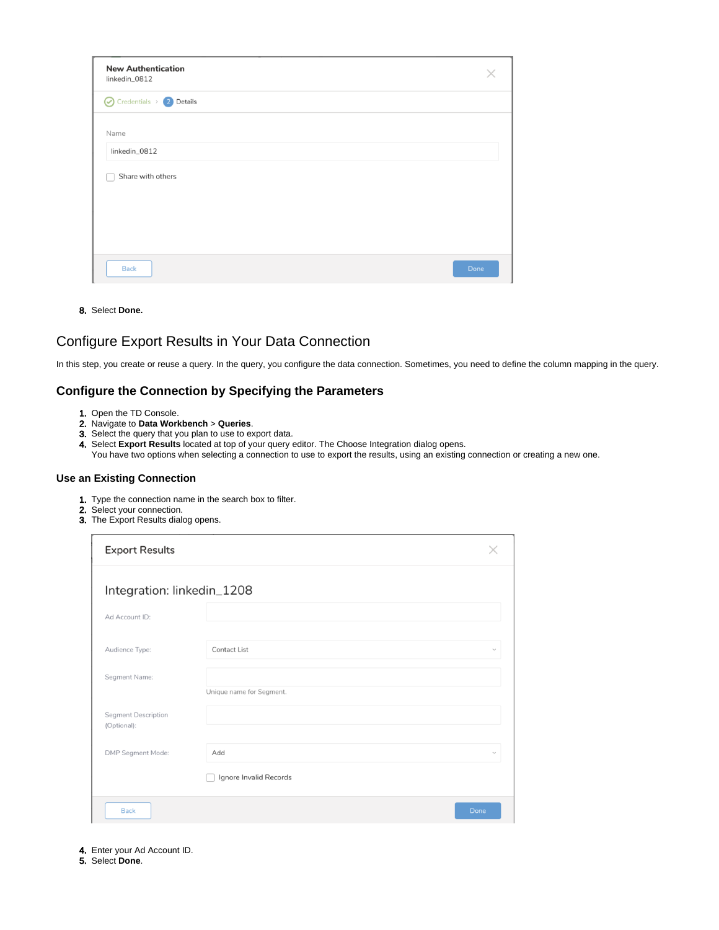| <b>New Authentication</b><br>linkedin_0812  |      |
|---------------------------------------------|------|
| $\bigcirc$ Credentials > $\bigcirc$ Details |      |
| Name                                        |      |
| linkedin_0812                               |      |
| Share with others                           |      |
|                                             |      |
|                                             |      |
|                                             |      |
|                                             |      |
| <b>Back</b>                                 | Done |

8. Select **Done.**

## Configure Export Results in Your Data Connection

In this step, you create or reuse a query. In the query, you configure the data connection. Sometimes, you need to define the column mapping in the query.

#### **Configure the Connection by Specifying the Parameters**

- 1. Open the TD Console.
- 2. Navigate to **Data Workbench** > **Queries**.
- 3. Select the query that you plan to use to export data.
- 4. Select **Export Results** located at top of your query editor. The Choose Integration dialog opens.
- You have two options when selecting a connection to use to export the results, using an existing connection or creating a new one.

#### **Use an Existing Connection**

- 1. Type the connection name in the search box to filter.
- 2. Select your connection.
- 3. The Export Results dialog opens.

| <b>Export Results</b>                     |                          |              |
|-------------------------------------------|--------------------------|--------------|
| Integration: linkedin_1208                |                          |              |
| Ad Account ID:                            |                          |              |
| Audience Type:                            | Contact List             | $\checkmark$ |
| Segment Name:                             | Unique name for Segment. |              |
| <b>Segment Description</b><br>(Optional): |                          |              |
| DMP Segment Mode:                         | Add                      | $\checkmark$ |
|                                           | Ignore Invalid Records   |              |
| <b>Back</b>                               |                          | Done         |

- 4. Enter your Ad Account ID.
- 5. Select **Done**.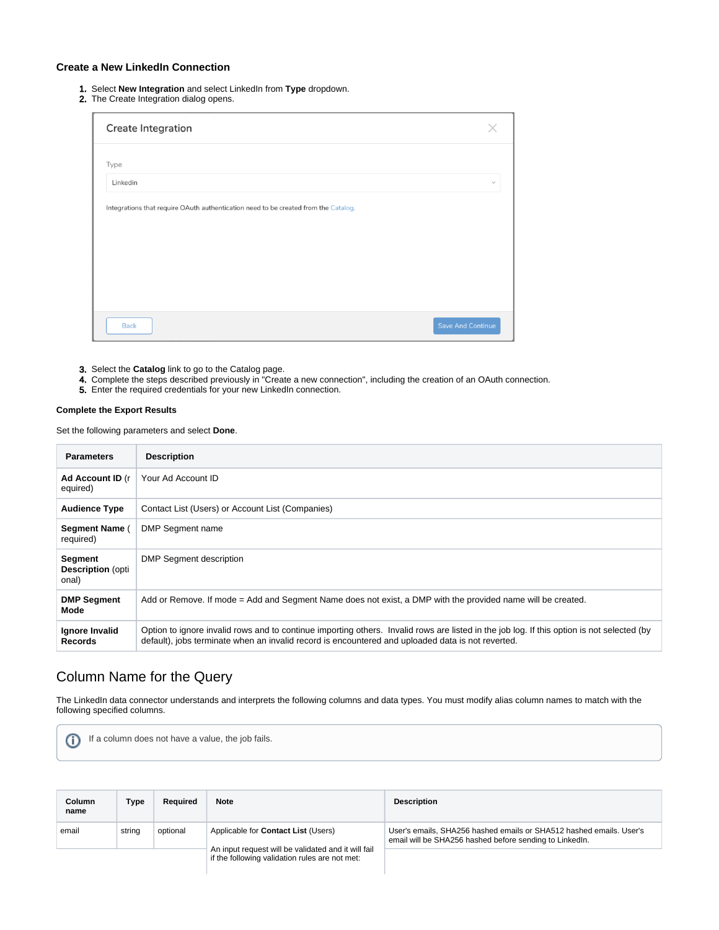#### **Create a New LinkedIn Connection**

- 1. Select **New Integration** and select LinkedIn from **Type** dropdown.
- 2. The Create Integration dialog opens.

| Create Integration                                                                  |                          |
|-------------------------------------------------------------------------------------|--------------------------|
| Type                                                                                |                          |
| Linkedin                                                                            | $\checkmark$             |
| Integrations that require OAuth authentication need to be created from the Catalog. |                          |
| <b>Back</b>                                                                         | <b>Save And Continue</b> |

- 3. Select the **Catalog** link to go to the Catalog page.
- 4. Complete the steps described previously in "Create a new connection", including the creation of an OAuth connection.
- 5. Enter the required credentials for your new LinkedIn connection.

#### **Complete the Export Results**

Set the following parameters and select **Done**.

| <b>Parameters</b>                             | <b>Description</b>                                                                                                                                                                                                                              |
|-----------------------------------------------|-------------------------------------------------------------------------------------------------------------------------------------------------------------------------------------------------------------------------------------------------|
| Ad Account ID (r<br>equired)                  | Your Ad Account ID                                                                                                                                                                                                                              |
| <b>Audience Type</b>                          | Contact List (Users) or Account List (Companies)                                                                                                                                                                                                |
| Segment Name (<br>required)                   | DMP Segment name                                                                                                                                                                                                                                |
| Segment<br><b>Description</b> (opti)<br>onal) | DMP Segment description                                                                                                                                                                                                                         |
| <b>DMP Segment</b><br>Mode                    | Add or Remove. If mode = Add and Segment Name does not exist, a DMP with the provided name will be created.                                                                                                                                     |
| Ignore Invalid<br><b>Records</b>              | Option to ignore invalid rows and to continue importing others. Invalid rows are listed in the job log. If this option is not selected (by<br>default), jobs terminate when an invalid record is encountered and uploaded data is not reverted. |

## Column Name for the Query

The LinkedIn data connector understands and interprets the following columns and data types. You must modify alias column names to match with the following specified columns.

If a column does not have a value, the job fails.⊕

| <b>Column</b><br>name | Type   | Required | <b>Note</b>                                                                                           | <b>Description</b>                                                                                                             |
|-----------------------|--------|----------|-------------------------------------------------------------------------------------------------------|--------------------------------------------------------------------------------------------------------------------------------|
| email                 | string | optional | Applicable for Contact List (Users)                                                                   | User's emails, SHA256 hashed emails or SHA512 hashed emails. User's<br>email will be SHA256 hashed before sending to LinkedIn. |
|                       |        |          | An input request will be validated and it will fail<br>if the following validation rules are not met: |                                                                                                                                |